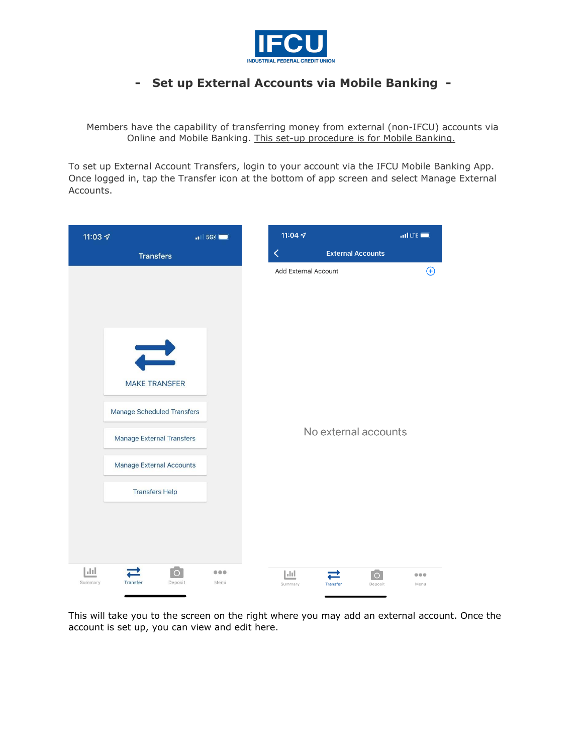

## **- Set up External Accounts via Mobile Banking -**

Members have the capability of transferring money from external (non-IFCU) accounts via Online and Mobile Banking. This set-up procedure is for Mobile Banking.

To set up External Account Transfers, login to your account via the IFCU Mobile Banking App. Once logged in, tap the Transfer icon at the bottom of app screen and select Manage External Accounts.

| 11:03 $\blacktriangleleft$ |                                                                                            | $\blacksquare$ 5G% | 11:04 $\sim$         |                          | $n$ Il LTE                                                                             |
|----------------------------|--------------------------------------------------------------------------------------------|--------------------|----------------------|--------------------------|----------------------------------------------------------------------------------------|
|                            | <b>Transfers</b>                                                                           |                    | く                    | <b>External Accounts</b> |                                                                                        |
|                            | $\overrightarrow{ }$<br><b>MAKE TRANSFER</b>                                               |                    |                      | Add External Account     | $\bigoplus$                                                                            |
|                            | <b>Manage Scheduled Transfers</b><br>Manage External Transfers<br>Manage External Accounts |                    | No external accounts |                          |                                                                                        |
|                            | <b>Transfers Help</b>                                                                      |                    |                      |                          |                                                                                        |
| h I<br>Summary             | o<br><b>Transfer</b><br>Deposit                                                            | 0.0.0<br>Menu      | h Inl<br>Summary     | Transfer                 | $\circ$<br>$\begin{array}{ccccc}\bullet&\bullet&\bullet\end{array}$<br>Deposit<br>Menu |

This will take you to the screen on the right where you may add an external account. Once the account is set up, you can view and edit here.